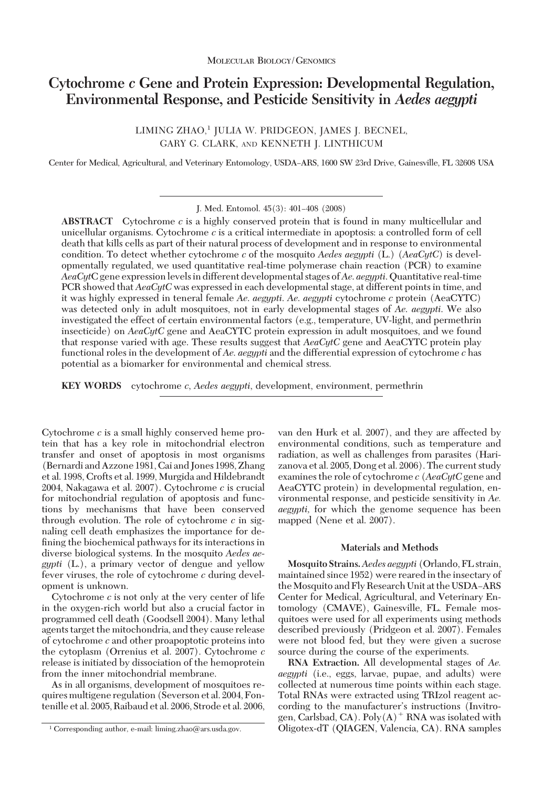# **Cytochrome** *c* **Gene and Protein Expression: Developmental Regulation, Environmental Response, and Pesticide Sensitivity in** *Aedes aegypti*

LIMING ZHAO,<sup>1</sup> JULIA W. PRIDGEON, JAMES J. BECNEL, GARY G. CLARK, AND KENNETH J. LINTHICUM

Center for Medical, Agricultural, and Veterinary Entomology, USDA-ARS, 1600 SW 23rd Drive, Gainesville, FL 32608 USA

J. Med. Entomol. 45(3): 401-408 (2008)

**ABSTRACT** Cytochrome *c* is a highly conserved protein that is found in many multicellular and unicellular organisms. Cytochrome *c* is a critical intermediate in apoptosis: a controlled form of cell death that kills cells as part of their natural process of development and in response to environmental condition. To detect whether cytochrome *c* of the mosquito *Aedes aegypti* (L.) (*AeaCytC*) is developmentally regulated, we used quantitative real-time polymerase chain reaction (PCR) to examine *AeaCyt*C gene expression levels in different developmental stages of*Ae*. *aegypti*. Quantitative real-time PCR showed that *AeaCytC* was expressed in each developmental stage, at different points in time, and it was highly expressed in teneral female *Ae*. *aegypti*. *Ae*. *aegypti* cytochrome *c* protein (AeaCYTC) was detected only in adult mosquitoes, not in early developmental stages of *Ae*. *aegypti*. We also investigated the effect of certain environmental factors (e.g., temperature, UV-light, and permethrin insecticide) on *AeaCytC* gene and AeaCYTC protein expression in adult mosquitoes, and we found that response varied with age. These results suggest that *AeaCytC* gene and AeaCYTC protein play functional roles in the development of *Ae*. *aegypti* and the differential expression of cytochrome *c* has potential as a biomarker for environmental and chemical stress.

**KEY WORDS** cytochrome *c*, *Aedes aegypti*, development, environment, permethrin

Cytochrome *c* is a small highly conserved heme protein that has a key role in mitochondrial electron transfer and onset of apoptosis in most organisms (Bernardi and Azzone 1981, Cai and Jones 1998, Zhang et al. 1998, Crofts et al. 1999, Murgida and Hildebrandt 2004, Nakagawa et al. 2007). Cytochrome *c* is crucial for mitochondrial regulation of apoptosis and functions by mechanisms that have been conserved through evolution. The role of cytochrome *c* in signaling cell death emphasizes the importance for defining the biochemical pathways for its interactions in diverse biological systems. In the mosquito *Aedes aegypti* (L.), a primary vector of dengue and yellow fever viruses, the role of cytochrome *c* during development is unknown.

Cytochrome *c* is not only at the very center of life in the oxygen-rich world but also a crucial factor in programmed cell death (Goodsell 2004). Many lethal agents target the mitochondria, and they cause release of cytochrome *c* and other proapoptotic proteins into the cytoplasm (Orrenius et al. 2007). Cytochrome *c* release is initiated by dissociation of the hemoprotein from the inner mitochondrial membrane.

As in all organisms, development of mosquitoes requires multigene regulation (Severson et al. 2004, Fontenille et al. 2005, Raibaud et al. 2006, Strode et al. 2006, van den Hurk et al. 2007), and they are affected by environmental conditions, such as temperature and radiation, as well as challenges from parasites (Harizanova et al. 2005, Dong et al. 2006). The current study examines the role of cytochrome *c* (*AeaCytC* gene and AeaCYTC protein) in developmental regulation, environmental response, and pesticide sensitivity in *Ae. aegypti,* for which the genome sequence has been mapped (Nene et al. 2007).

## **Materials and Methods**

**Mosquito Strains.***Aedes aegypti* (Orlando, FL strain, maintained since 1952) were reared in the insectary of the Mosquito and Fly Research Unit at the USDA-ARS Center for Medical, Agricultural, and Veterinary Entomology (CMAVE), Gainesville, FL. Female mosquitoes were used for all experiments using methods described previously (Pridgeon et al. 2007). Females were not blood fed, but they were given a sucrose source during the course of the experiments.

**RNA Extraction.** All developmental stages of *Ae. aegypti* (i.e., eggs, larvae, pupae, and adults) were collected at numerous time points within each stage. Total RNAs were extracted using TRIzol reagent according to the manufacturer's instructions (Invitrogen, Carlsbad, CA).  $Poly(A)^+$  RNA was isolated with <sup>1</sup> Corresponding author, e-mail: liming.zhao@ars.usda.gov. **1** Oligotex-dT (QIAGEN, Valencia, CA). RNA samples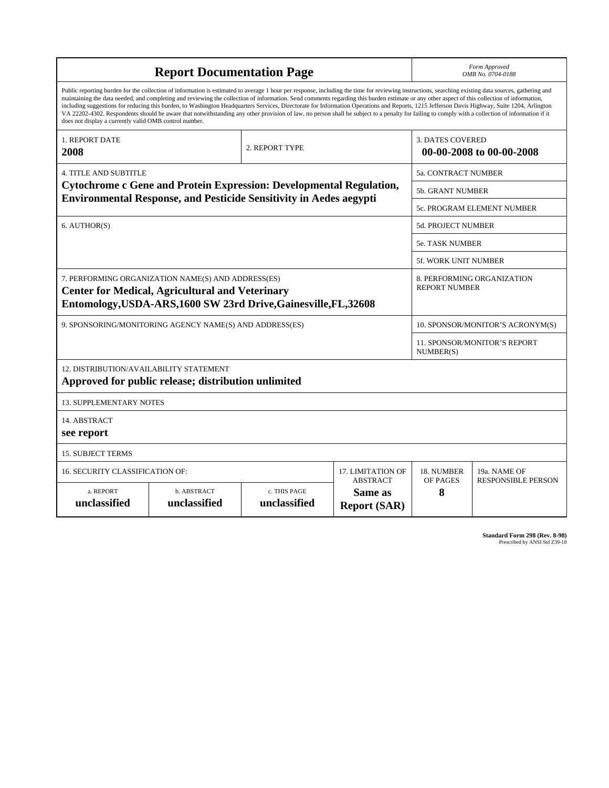|                                                        | Form Approved<br>OMB No. 0704-0188                                                                                                                                                                                                                                                                                                                                                                                                                                                                                                                                                                                                                                                                                                                                                                       |                                                     |                                             |                                           |                            |  |
|--------------------------------------------------------|----------------------------------------------------------------------------------------------------------------------------------------------------------------------------------------------------------------------------------------------------------------------------------------------------------------------------------------------------------------------------------------------------------------------------------------------------------------------------------------------------------------------------------------------------------------------------------------------------------------------------------------------------------------------------------------------------------------------------------------------------------------------------------------------------------|-----------------------------------------------------|---------------------------------------------|-------------------------------------------|----------------------------|--|
| does not display a currently valid OMB control number. | Public reporting burden for the collection of information is estimated to average 1 hour per response, including the time for reviewing instructions, searching existing data sources, gathering and<br>maintaining the data needed, and completing and reviewing the collection of information. Send comments regarding this burden estimate or any other aspect of this collection of information,<br>including suggestions for reducing this burden, to Washington Headquarters Services, Directorate for Information Operations and Reports, 1215 Jefferson Davis Highway, Suite 1204, Arlington<br>VA 22202-4302. Respondents should be aware that notwithstanding any other provision of law, no person shall be subject to a penalty for failing to comply with a collection of information if it |                                                     |                                             |                                           |                            |  |
| <b>1. REPORT DATE</b><br>2008                          |                                                                                                                                                                                                                                                                                                                                                                                                                                                                                                                                                                                                                                                                                                                                                                                                          | <b>3. DATES COVERED</b><br>00-00-2008 to 00-00-2008 |                                             |                                           |                            |  |
| <b>4. TITLE AND SUBTITLE</b>                           |                                                                                                                                                                                                                                                                                                                                                                                                                                                                                                                                                                                                                                                                                                                                                                                                          |                                                     |                                             | 5a. CONTRACT NUMBER                       |                            |  |
|                                                        | Cytochrome c Gene and Protein Expression: Developmental Regulation,                                                                                                                                                                                                                                                                                                                                                                                                                                                                                                                                                                                                                                                                                                                                      |                                                     |                                             | <b>5b. GRANT NUMBER</b>                   |                            |  |
|                                                        | <b>Environmental Response, and Pesticide Sensitivity in Aedes aegypti</b>                                                                                                                                                                                                                                                                                                                                                                                                                                                                                                                                                                                                                                                                                                                                |                                                     |                                             |                                           | 5c. PROGRAM ELEMENT NUMBER |  |
| 6. AUTHOR(S)                                           |                                                                                                                                                                                                                                                                                                                                                                                                                                                                                                                                                                                                                                                                                                                                                                                                          | 5d. PROJECT NUMBER                                  |                                             |                                           |                            |  |
|                                                        | <b>5e. TASK NUMBER</b>                                                                                                                                                                                                                                                                                                                                                                                                                                                                                                                                                                                                                                                                                                                                                                                   |                                                     |                                             |                                           |                            |  |
|                                                        | 5f. WORK UNIT NUMBER                                                                                                                                                                                                                                                                                                                                                                                                                                                                                                                                                                                                                                                                                                                                                                                     |                                                     |                                             |                                           |                            |  |
|                                                        | 7. PERFORMING ORGANIZATION NAME(S) AND ADDRESS(ES)<br><b>Center for Medical, Agricultural and Veterinary</b><br>Entomology, USDA-ARS, 1600 SW 23rd Drive, Gainesville, FL, 32608                                                                                                                                                                                                                                                                                                                                                                                                                                                                                                                                                                                                                         | 8. PERFORMING ORGANIZATION<br><b>REPORT NUMBER</b>  |                                             |                                           |                            |  |
|                                                        | 9. SPONSORING/MONITORING AGENCY NAME(S) AND ADDRESS(ES)                                                                                                                                                                                                                                                                                                                                                                                                                                                                                                                                                                                                                                                                                                                                                  |                                                     |                                             | 10. SPONSOR/MONITOR'S ACRONYM(S)          |                            |  |
|                                                        |                                                                                                                                                                                                                                                                                                                                                                                                                                                                                                                                                                                                                                                                                                                                                                                                          |                                                     |                                             | 11. SPONSOR/MONITOR'S REPORT<br>NUMBER(S) |                            |  |
| 12. DISTRIBUTION/AVAILABILITY STATEMENT                | Approved for public release; distribution unlimited                                                                                                                                                                                                                                                                                                                                                                                                                                                                                                                                                                                                                                                                                                                                                      |                                                     |                                             |                                           |                            |  |
| <b>13. SUPPLEMENTARY NOTES</b>                         |                                                                                                                                                                                                                                                                                                                                                                                                                                                                                                                                                                                                                                                                                                                                                                                                          |                                                     |                                             |                                           |                            |  |
| 14. ABSTRACT<br>see report                             |                                                                                                                                                                                                                                                                                                                                                                                                                                                                                                                                                                                                                                                                                                                                                                                                          |                                                     |                                             |                                           |                            |  |
| <b>15. SUBJECT TERMS</b>                               |                                                                                                                                                                                                                                                                                                                                                                                                                                                                                                                                                                                                                                                                                                                                                                                                          |                                                     |                                             |                                           |                            |  |
| <b>16. SECURITY CLASSIFICATION OF:</b>                 |                                                                                                                                                                                                                                                                                                                                                                                                                                                                                                                                                                                                                                                                                                                                                                                                          |                                                     | <b>17. LIMITATION OF</b><br><b>ABSTRACT</b> | 18. NUMBER<br>OF PAGES                    | 19a. NAME OF               |  |
| a. REPORT<br>unclassified                              | b. ABSTRACT<br>c. THIS PAGE<br>Same as<br>unclassified<br>unclassified<br><b>Report (SAR)</b>                                                                                                                                                                                                                                                                                                                                                                                                                                                                                                                                                                                                                                                                                                            |                                                     |                                             |                                           | <b>RESPONSIBLE PERSON</b>  |  |

**Standard Form 298 (Rev. 8-98)**<br>Prescribed by ANSI Std Z39-18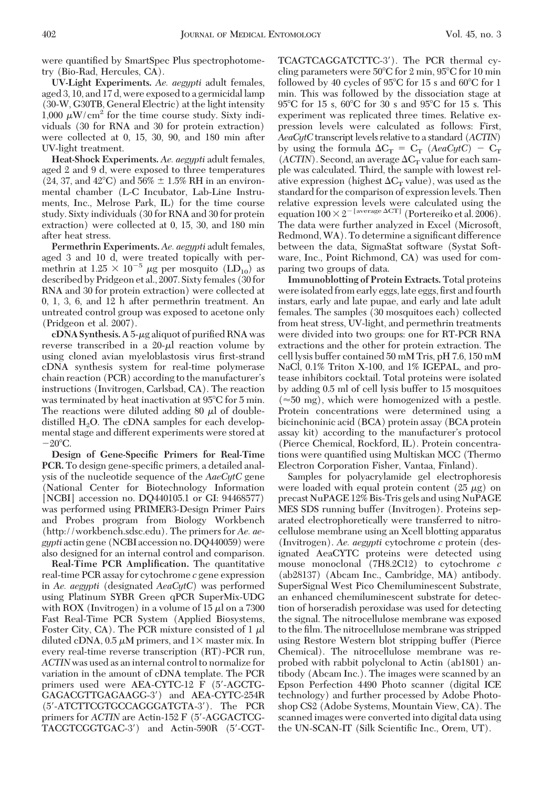were quantified by SmartSpec Plus spectrophotometry (Bio-Rad, Hercules, CA).

**UV-Light Experiments.** *Ae. aegypti* adult females, aged 3, 10, and 17 d, were exposed to a germicidal lamp (30-W, G30TB, General Electric) at the light intensity 1,000  $\mu$ W/cm<sup>2</sup> for the time course study. Sixty individuals (30 for RNA and 30 for protein extraction) were collected at 0, 15, 30, 90, and 180 min after UV-light treatment.

**Heat-Shock Experiments.** *Ae. aegypti* adult females, aged 2 and 9 d, were exposed to three temperatures  $(24, 37, \text{ and } 42^{\circ}\text{C})$  and  $56\% \pm 1.5\% \text{ RH}$  in an environmental chamber (L-C Incubator, Lab-Line Instruments, Inc., Melrose Park, IL) for the time course study. Sixty individuals (30 for RNA and 30 for protein extraction) were collected at 0, 15, 30, and 180 min after heat stress.

**Permethrin Experiments.** *Ae. aegypti* adult females, aged 3 and 10 d, were treated topically with permethrin at 1.25  $\times$  10<sup>-5</sup>  $\mu$ g per mosquito (LD<sub>10</sub>) as described by Pridgeon et al., 2007. Sixty females (30 for RNA and 30 for protein extraction) were collected at 0, 1, 3, 6, and 12 h after permethrin treatment. An untreated control group was exposed to acetone only (Pridgeon et al. 2007).

 $cDNA$  Synthesis. A 5- $\mu$ g aliquot of purified RNA was reverse transcribed in a  $20-\mu l$  reaction volume by using cloned avian myeloblastosis virus first-strand cDNA synthesis system for real-time polymerase chain reaction (PCR) according to the manufacturer's instructions (Invitrogen, Carlsbad, CA). The reaction was terminated by heat inactivation at 95°C for 5 min. The reactions were diluted adding 80  $\mu$ l of doubledistilled  $H_2O$ . The cDNA samples for each developmental stage and different experiments were stored at  $-20^{\circ}$ C.

**Design of Gene-Specific Primers for Real-Time PCR.** To design gene-specific primers, a detailed analysis of the nucleotide sequence of the *AaeCytC* gene (National Center for Biotechnology Information [NCBI] accession no. DQ440105.1 or GI: 94468577) was performed using PRIMER3-Design Primer Pairs and Probes program from Biology Workbench (http://workbench.sdsc.edu). The primers for *Ae. aegypti* actin gene (NCBI accession no. DQ440059) were also designed for an internal control and comparison.

**Real-Time PCR Amplification.** The quantitative real-time PCR assay for cytochrome *c* gene expression in *Ae. aegypti* (designated *AeaCytC*) was performed using Platinum SYBR Green qPCR SuperMix-UDG with ROX (Invitrogen) in a volume of  $15 \mu l$  on a 7300 Fast Real-Time PCR System (Applied Biosystems, Foster City, CA). The PCR mixture consisted of 1  $\mu$ diluted cDNA, 0.5  $\mu$ M primers, and 1  $\times$  master mix. In every real-time reverse transcription (RT)-PCR run, *ACTIN* was used as an internal control to normalize for variation in the amount of cDNA template. The PCR primers used were AEA-CYTC-12 F (5-AGCTG-GAGACGTTGAGAAGG-3) and AEA-CYTC-254R (5-ATCTTCGTGCCAGGGATGTA-3). The PCR primers for *ACTIN* are Actin-152 F (5'-AGGACTCG-TACGTCGGTGAC-3) and Actin-590R (5-CGT- TCAGTCAGGATCTTC-3). The PCR thermal cycling parameters were  $50^{\circ}$ C for 2 min,  $95^{\circ}$ C for 10 min followed by 40 cycles of 95°C for 15 s and 60°C for 1 min. This was followed by the dissociation stage at 95°C for 15 s, 60°C for 30 s and 95°C for 15 s. This experiment was replicated three times. Relative expression levels were calculated as follows: First, *AeaCytC*transcript levels relative to a standard (*ACTIN*) by using the formula  $\Delta C_T = C_T$  (*AeaCytC*) –  $C_T$  $(ACTIN)$ . Second, an average  $\Delta C_T$  value for each sample was calculated. Third, the sample with lowest relative expression (highest  $\Delta C_T$  value), was used as the standard for the comparison of expression levels. Then relative expression levels were calculated using the equation  $100 \times 2^{-\left[ \text{average } \Delta \text{CT} \right]}$  (Portereiko et al. 2006). The data were further analyzed in Excel (Microsoft, Redmond, WA). To determine a significant difference between the data, SigmaStat software (Systat Software, Inc., Point Richmond, CA) was used for comparing two groups of data.

**Immunoblotting of Protein Extracts.** Total proteins were isolated from early eggs, late eggs, first and fourth instars, early and late pupae, and early and late adult females. The samples (30 mosquitoes each) collected from heat stress, UV-light, and permethrin treatments were divided into two groups: one for RT-PCR RNA extractions and the other for protein extraction. The cell lysis buffer contained 50 mM Tris, pH 7.6, 150 mM NaCl, 0.1% Triton X-100, and 1% IGEPAL, and protease inhibitors cocktail. Total proteins were isolated by adding 0.5 ml of cell lysis buffer to 15 mosquitoes  $(\approx 50 \text{ mg})$ , which were homogenized with a pestle. Protein concentrations were determined using a bicinchoninic acid (BCA) protein assay (BCA protein assay kit) according to the manufacturer's protocol (Pierce Chemical, Rockford, IL). Protein concentrations were quantified using Multiskan MCC (Thermo Electron Corporation Fisher, Vantaa, Finland).

Samples for polyacrylamide gel electrophoresis were loaded with equal protein content  $(25 \mu g)$  on precast NuPAGE 12% Bis-Tris gels and using NuPAGE MES SDS running buffer (Invitrogen). Proteins separated electrophoretically were transferred to nitrocellulose membrane using an Xcell blotting apparatus (Invitrogen). *Ae. aegypti* cytochrome *c* protein (designated AeaCYTC proteins were detected using mouse monoclonal (7H8.2C12) to cytochrome *c* (ab28137) (Abcam Inc., Cambridge, MA) antibody. SuperSignal West Pico Chemiluminescent Substrate, an enhanced chemiluminescent substrate for detection of horseradish peroxidase was used for detecting the signal. The nitrocellulose membrane was exposed to the film. The nitrocellulose membrane was stripped using Restore Western blot stripping buffer (Pierce Chemical). The nitrocellulose membrane was reprobed with rabbit polyclonal to Actin (ab1801) antibody (Abcam Inc.). The images were scanned by an Epson Perfection 4490 Photo scanner (digital ICE technology) and further processed by Adobe Photoshop CS2 (Adobe Systems, Mountain View, CA). The scanned images were converted into digital data using the UN-SCAN-IT (Silk Scientific Inc., Orem, UT).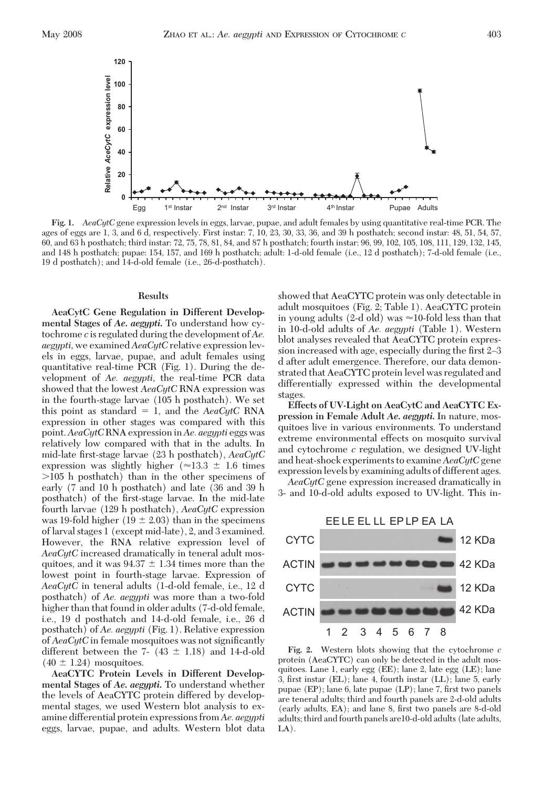

**Fig. 1.** *AeaCytC* gene expression levels in eggs, larvae, pupae, and adult females by using quantitative real-time PCR. The ages of eggs are 1, 3, and 6 d, respectively. First instar: 7, 10, 23, 30, 33, 36, and 39 h posthatch; second instar: 48, 51, 54, 57, 60, and 63 h posthatch; third instar: 72, 75, 78, 81, 84, and 87 h posthatch; fourth instar: 96, 99, 102, 105, 108, 111, 129, 132, 145, and 148 h posthatch; pupae: 154, 157, and 169 h posthatch; adult: 1-d-old female (i.e., 12 d posthatch); 7-d-old female (i.e., 19 d posthatch); and 14-d-old female (i.e., 26-d-posthatch).

### **Results**

**AeaCytC Gene Regulation in Different Developmental Stages of** *Ae***.** *aegypti***.** To understand how cytochrome *c* is regulated during the development of *Ae. aegypti,* we examined *AeaCytC* relative expression levels in eggs, larvae, pupae, and adult females using quantitative real-time PCR (Fig. 1). During the development of *Ae. aegypti,* the real-time PCR data showed that the lowest *AeaCytC* RNA expression was in the fourth-stage larvae (105 h posthatch). We set this point as standard  $= 1$ , and the *AeaCytC* RNA expression in other stages was compared with this point.*AeaCytC*RNA expression in*Ae. aegypti* eggs was relatively low compared with that in the adults. In mid-late Þrst-stage larvae (23 h posthatch), *AeaCytC* expression was slightly higher ( $\approx$ 13.3  $\pm$  1.6 times 105 h posthatch) than in the other specimens of early (7 and 10 h posthatch) and late (36 and 39 h posthatch) of the first-stage larvae. In the mid-late fourth larvae (129 h posthatch), *AeaCytC* expression was 19-fold higher (19  $\pm$  2.03) than in the specimens of larval stages 1 (except mid-late), 2, and 3 examined. However, the RNA relative expression level of *AeaCytC* increased dramatically in teneral adult mosquitoes, and it was  $94.37 \pm 1.34$  times more than the lowest point in fourth-stage larvae. Expression of *AeaCytC* in teneral adults (1-d-old female, i.e., 12 d posthatch) of *Ae. aegypti* was more than a two-fold higher than that found in older adults (7-d-old female, i.e., 19 d posthatch and 14-d-old female, i.e., 26 d posthatch) of *Ae. aegypti* (Fig. 1). Relative expression of *AeaCytC* in female mosquitoes was not significantly different between the 7-  $(43 \pm 1.18)$  and 14-d-old  $(40 \pm 1.24)$  mosquitoes.

**AeaCYTC Protein Levels in Different Developmental Stages of** *Ae***.** *aegypti***.** To understand whether the levels of AeaCYTC protein differed by developmental stages, we used Western blot analysis to examine differential protein expressions from *Ae. aegypti* eggs, larvae, pupae, and adults. Western blot data showed that AeaCYTC protein was only detectable in adult mosquitoes (Fig. 2; Table 1). AeaCYTC protein in young adults (2-d old) was  $\approx$ 10-fold less than that in 10-d-old adults of *Ae. aegypti* (Table 1). Western blot analyses revealed that AeaCYTC protein expression increased with age, especially during the first 2–3 d after adult emergence. Therefore, our data demonstrated that AeaCYTC protein level was regulated and differentially expressed within the developmental stages.

**Effects of UV-Light on AeaCytC and AeaCYTC Expression in Female Adult** *Ae***.** *aegypti***.** In nature, mosquitoes live in various environments. To understand extreme environmental effects on mosquito survival and cytochrome *c* regulation, we designed UV-light and heat-shock experiments to examine*AeaCytC*gene expression levels by examining adults of different ages.

*AeaCytC* gene expression increased dramatically in 3- and 10-d-old adults exposed to UV-light. This in-



**Fig. 2.** Western blots showing that the cytochrome *c* protein (AeaCYTC) can only be detected in the adult mosquitoes. Lane 1, early egg (EE); lane 2, late egg (LE); lane 3, first instar  $(EL)$ ; lane 4, fourth instar  $(LL)$ ; lane 5, early pupae (EP); lane 6, late pupae (LP); lane 7, first two panels are teneral adults; third and fourth panels are 2-d-old adults (early adults, EA); and lane 8, first two panels are 8-d-old adults; third and fourth panels are10-d-old adults (late adults, LA).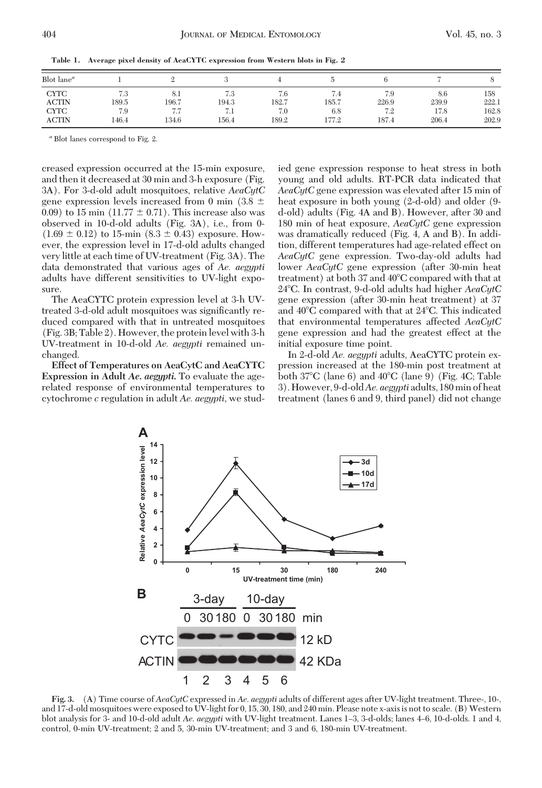| Blot $lane^a$ |       |                 |       |       |        |       |       |       |
|---------------|-------|-----------------|-------|-------|--------|-------|-------|-------|
| <b>CYTC</b>   | 7.3   | $_{\odot}$ .    | 7.3   | 6.)   | 7.4    | 7.9   | 8.6   | 158   |
| <b>ACTIN</b>  | 189.5 | 196.7           | 194.3 | 182.7 | 185.7  | 226.9 | 239.9 | 222.1 |
| <b>CYTC</b>   | 7.9   | - -<br>$\cdots$ | 7.1   | 7.0   | 6.8    | 7.2   | 17.8  | 162.8 |
| <b>ACTIN</b>  | 46.4  | 134.6           | 156.4 | 189.2 | ' 77.2 | 187.4 | 206.4 | 202.9 |

**Table 1. Average pixel density of AeaCYTC expression from Western blots in Fig. 2**

*<sup>a</sup>* Blot lanes correspond to Fig. 2.

creased expression occurred at the 15-min exposure, and then it decreased at 30 min and 3-h exposure (Fig. 3A). For 3-d-old adult mosquitoes, relative *AeaCytC* gene expression levels increased from 0 min  $(3.8 \pm$ 0.09) to 15 min  $(11.77 \pm 0.71)$ . This increase also was observed in 10-d-old adults (Fig. 3A), i.e., from 0-  $(1.69 \pm 0.12)$  to 15-min  $(8.3 \pm 0.43)$  exposure. However, the expression level in 17-d-old adults changed very little at each time of UV-treatment (Fig. 3A). The data demonstrated that various ages of *Ae. aegypti* adults have different sensitivities to UV-light exposure.

The AeaCYTC protein expression level at 3-h UVtreated 3-d-old adult mosquitoes was significantly reduced compared with that in untreated mosquitoes (Fig. 3B; Table 2). However, the protein level with 3-h UV-treatment in 10-d-old *Ae. aegypti* remained unchanged.

**Effect of Temperatures on AeaCytC and AeaCYTC Expression in Adult** *Ae***.** *aegypti***.** To evaluate the agerelated response of environmental temperatures to cytochrome *c* regulation in adult *Ae. aegypti,* we studied gene expression response to heat stress in both young and old adults. RT-PCR data indicated that *AeaCytC* gene expression was elevated after 15 min of heat exposure in both young (2-d-old) and older (9 d-old) adults (Fig. 4A and B). However, after 30 and 180 min of heat exposure, *AeaCytC* gene expression was dramatically reduced (Fig. 4, A and B). In addition, different temperatures had age-related effect on *AeaCytC* gene expression. Two-day-old adults had lower *AeaCytC* gene expression (after 30-min heat treatment) at both 37 and 40°C compared with that at 24-C. In contrast, 9-d-old adults had higher *AeaCytC* gene expression (after 30-min heat treatment) at 37 and 40°C compared with that at 24°C. This indicated that environmental temperatures affected *AeaCytC* gene expression and had the greatest effect at the initial exposure time point.

In 2-d-old *Ae. aegypti* adults, AeaCYTC protein expression increased at the 180-min post treatment at both 37°C (lane 6) and 40°C (lane 9) (Fig. 4C; Table 3). However, 9-d-old*Ae. aegypti* adults, 180min of heat treatment (lanes 6 and 9, third panel) did not change



**Fig. 3.** (A) Time course of *AeaCytC* expressed in *Ae*. *aegypti* adults of different ages after UV-light treatment. Three-, 10-, and 17-d-old mosquitoes were exposed to UV-light for 0, 15, 30, 180, and 240 min. Please note x-axis is not to scale. (B) Western blot analysis for 3- and 10-d-old adult *Ae. aegypti* with UV-light treatment. Lanes 1–3, 3-d-olds; lanes 4–6, 10-d-olds. 1 and 4, control, 0-min UV-treatment; 2 and 5, 30-min UV-treatment; and 3 and 6, 180-min UV-treatment.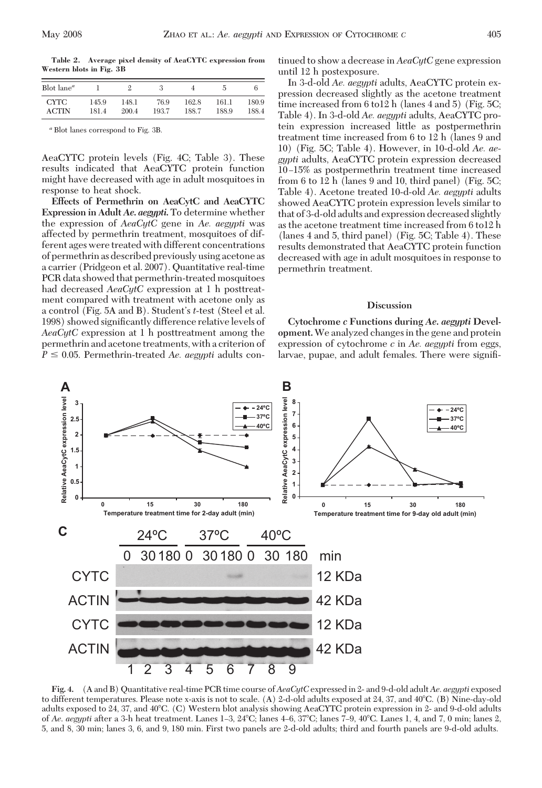**Table 2. Average pixel density of AeaCYTC expression from Western blots in Fig. 3B**

| Blot lane <sup><math>a</math></sup> |       |       |       |       |       |       |
|-------------------------------------|-------|-------|-------|-------|-------|-------|
| <b>CYTC</b>                         | 145.9 | 148.1 | 76.9  | 162.8 | 161.1 | 180.9 |
| <b>ACTIN</b>                        | 181.4 | 200.4 | 193.7 | 188.7 | 188.9 | 188.4 |

*<sup>a</sup>* Blot lanes correspond to Fig. 3B.

AeaCYTC protein levels (Fig. 4C; Table 3). These results indicated that AeaCYTC protein function might have decreased with age in adult mosquitoes in response to heat shock.

**Effects of Permethrin on AeaCytC and AeaCYTC Expression in Adult** *Ae***.** *aegypti***.** To determine whether the expression of *AeaCytC* gene in *Ae. aegypti* was affected by permethrin treatment, mosquitoes of different ages were treated with different concentrations of permethrin as described previously using acetone as a carrier (Pridgeon et al. 2007). Quantitative real-time PCR data showed that permethrin-treated mosquitoes had decreased *AeaCytC* expression at 1 h posttreatment compared with treatment with acetone only as a control (Fig. 5A and B). Student's *t*-test (Steel et al. 1998) showed significantly difference relative levels of *AeaCytC* expression at 1 h posttreatment among the permethrin and acetone treatments, with a criterion of  $P \leq 0.05$ . Permethrin-treated *Ae. aegypti* adults continued to show a decrease in *AeaCytC* gene expression until 12 h postexposure.

In 3-d-old *Ae. aegypti* adults, AeaCYTC protein expression decreased slightly as the acetone treatment time increased from 6 to12 h (lanes 4 and 5) (Fig. 5C; Table 4). In 3-d-old *Ae. aegypti* adults, AeaCYTC protein expression increased little as postpermethrin treatment time increased from 6 to 12 h (lanes 9 and 10) (Fig. 5C; Table 4). However, in 10-d-old *Ae. aegypti* adults, AeaCYTC protein expression decreased 10–15% as postpermethrin treatment time increased from 6 to 12 h (lanes 9 and 10, third panel) (Fig. 5C; Table 4). Acetone treated 10-d-old *Ae. aegypti* adults showed AeaCYTC protein expression levels similar to that of 3-d-old adults and expression decreased slightly as the acetone treatment time increased from 6 to12 h (lanes 4 and 5, third panel) (Fig. 5C; Table 4). These results demonstrated that AeaCYTC protein function decreased with age in adult mosquitoes in response to permethrin treatment.

#### **Discussion**

**Cytochrome** *c* **Functions during** *Ae***.** *aegypti* **Development.**We analyzed changes in the gene and protein expression of cytochrome *c* in *Ae. aegypti* from eggs, larvae, pupae, and adult females. There were signiÞ-



**Fig. 4.** (A and B) Quantitative real-time PCR time course of*AeaCytC*expressed in 2- and 9-d-old adult*Ae*. *aegypti* exposed to different temperatures. Please note x-axis is not to scale. (A) 2-d-old adults exposed at 24, 37, and 40°C. (B) Nine-day-old adults exposed to 24, 37, and 40°C. (C) Western blot analysis showing AeaCYTC protein expression in 2- and 9-d-old adults of *Ae. aegypti* after a 3-h heat treatment. Lanes 1–3, 24°C; lanes 4–6, 37°C; lanes 7–9, 40°C. Lanes 1, 4, and 7, 0 min; lanes 2, 5, and 8, 30 min; lanes 3, 6, and 9, 180 min. First two panels are 2-d-old adults; third and fourth panels are 9-d-old adults.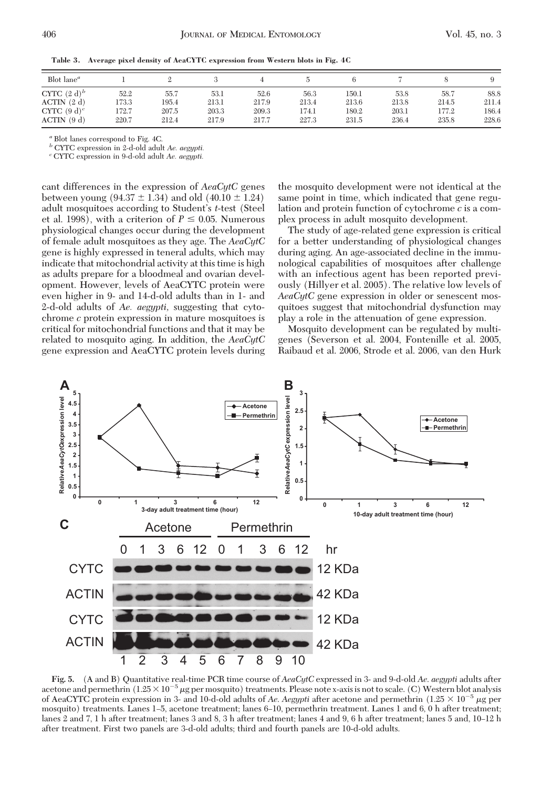|  | Table 3. Average pixel density of AeaCYTC expression from Western blots in Fig. 4C |  |  |  |  |  |  |  |  |
|--|------------------------------------------------------------------------------------|--|--|--|--|--|--|--|--|
|--|------------------------------------------------------------------------------------|--|--|--|--|--|--|--|--|

| Blot lane <sup><math>a</math></sup> |       |       |       |       |       |       |       |       |       |
|-------------------------------------|-------|-------|-------|-------|-------|-------|-------|-------|-------|
| CYTC $(2 d)^b$                      | 52.2  | 55.7  | 53.1  | 52.6  | 56.3  | 150.1 | 53.8  | 58.7  | 88.8  |
| $ACTIN$ $(2 d)$                     | 173.3 | 195.4 | 213.1 | 217.9 | 213.4 | 213.6 | 213.8 | 214.5 | 211.4 |
| CYTC $(9 d)^c$                      | 172.7 | 207.5 | 203.3 | 209.3 | 174.1 | 180.2 | 203.1 | 177.2 | 186.4 |
| $ACTIN$ (9 d)                       | 220.7 | 212.4 | 217.9 | 217.7 | 227.3 | 231.5 | 236.4 | 235.8 | 228.6 |

*<sup>a</sup>* Blot lanes correspond to Fig. 4C.

*<sup>b</sup>* CYTC expression in 2-d-old adult *Ae. aegypti. <sup>c</sup>* CYTC expression in 9-d-old adult *Ae. aegypti.*

cant differences in the expression of *AeaCytC* genes between young  $(94.37 \pm 1.34)$  and old  $(40.10 \pm 1.24)$ adult mosquitoes according to Student's *t*-test (Steel et al. 1998), with a criterion of  $P \leq 0.05$ . Numerous physiological changes occur during the development of female adult mosquitoes as they age. The *AeaCytC* gene is highly expressed in teneral adults, which may indicate that mitochondrial activity at this time is high as adults prepare for a bloodmeal and ovarian development. However, levels of AeaCYTC protein were even higher in 9- and 14-d-old adults than in 1- and 2-d-old adults of *Ae. aegypti,* suggesting that cytochrome *c* protein expression in mature mosquitoes is critical for mitochondrial functions and that it may be related to mosquito aging. In addition, the *AeaCytC* gene expression and AeaCYTC protein levels during the mosquito development were not identical at the same point in time, which indicated that gene regulation and protein function of cytochrome *c* is a complex process in adult mosquito development.

The study of age-related gene expression is critical for a better understanding of physiological changes during aging. An age-associated decline in the immunological capabilities of mosquitoes after challenge with an infectious agent has been reported previously (Hillyer et al. 2005). The relative low levels of *AeaCytC* gene expression in older or senescent mosquitoes suggest that mitochondrial dysfunction may play a role in the attenuation of gene expression.

Mosquito development can be regulated by multigenes (Severson et al. 2004, Fontenille et al. 2005, Raibaud et al. 2006, Strode et al. 2006, van den Hurk



**Fig. 5.** (A and B) Quantitative real-time PCR time course of *AeaCytC* expressed in 3- and 9-d-old *Ae*. *aegypti* adults after acetone and permethrin  $(1.25 \times 10^{-5} \mu g$  per mosquito) treatments. Please note x-axis is not to scale. (C) Western blot analysis of AeaCYTC protein expression in 3- and 10-d-old adults of *Ae. Aegypti* after acetone and permethrin  $(1.25 \times 10^{-5} \,\mu g$  per mosquito) treatments. Lanes 1–5, acetone treatment; lanes 6–10, permethrin treatment. Lanes 1 and 6, 0 h after treatment; lanes 2 and 7, 1 h after treatment; lanes 3 and 8, 3 h after treatment; lanes 4 and 9, 6 h after treatment; lanes 5 and, 10–12 h after treatment. First two panels are 3-d-old adults; third and fourth panels are 10-d-old adults.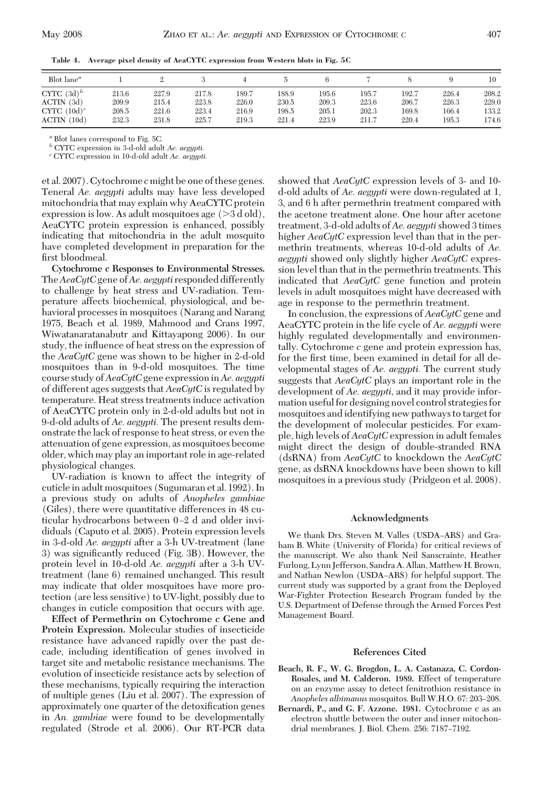| Blot lane <sup><math>a</math></sup> |       |       |       |       |       |       |       |       |       | 10    |
|-------------------------------------|-------|-------|-------|-------|-------|-------|-------|-------|-------|-------|
| CYTC $(3d)^b$                       | 213.6 | 227.9 | 217.8 | 189.7 | 188.9 | 195.6 | 195.7 | 192.7 | 226.4 | 208.2 |
| $ACTIN$ (3d)                        | 209.9 | 215.4 | 223.8 | 226.0 | 230.5 | 209.3 | 223.6 | 206.7 | 226.3 | 229.0 |
| CYTC $(10d)^c$                      | 208.5 | 221.6 | 223.4 | 216.9 | 198.5 | 205.1 | 202.3 | 169.8 | 166.4 | 133.2 |
| (10d)<br><b>ACTIN</b>               | 232.3 | 231.8 | 225.7 | 219.3 | 221.4 | 223.9 | 211.7 | 220.4 | 195.3 | 174.6 |

**Table 4. Average pixel density of AeaCYTC expression from Western blots in Fig. 5C**

*<sup>a</sup>* Blot lanes correspond to Fig. 5C.

*<sup>b</sup>* CYTC expression in 3-d-old adult *Ae. aegypti. <sup>c</sup>* CYTC expression in 10-d-old adult *Ae. aegypti.*

et al. 2007). Cytochrome *c* might be one of these genes. Teneral *Ae. aegypti* adults may have less developed mitochondria that may explain why AeaCYTC protein expression is low. As adult mosquitoes age ( 3 d old), AeaCYTC protein expression is enhanced, possibly indicating that mitochondria in the adult mosquito have completed development in preparation for the first bloodmeal.

**Cytochrome** *c* **Responses to Environmental Stresses.** The*AeaCytC*gene of*Ae. aegypti* responded differently to challenge by heat stress and UV-radiation. Temperature affects biochemical, physiological, and behavioral processes in mosquitoes (Narang and Narang 1975, Beach et al. 1989, Mahmood and Crans 1997, Wiwatanaratanabutr and Kittayapong 2006). In our study, the influence of heat stress on the expression of the *AeaCytC* gene was shown to be higher in 2-d-old mosquitoes than in 9-d-old mosquitoes. The time course study of*AeaCytC*gene expression in*Ae. aegypti* of different ages suggests that *AeaCytC* is regulated by temperature. Heat stress treatments induce activation of AeaCYTC protein only in 2-d-old adults but not in 9-d-old adults of *Ae. aegypti.* The present results demonstrate the lack of response to heat stress, or even the attenuation of gene expression, as mosquitoes become older, which may play an important role in age-related physiological changes.

UV-radiation is known to affect the integrity of cuticle in adult mosquitoes (Sugumaran et al. 1992). In a previous study on adults of *Anopheles gambiae* (Giles), there were quantitative differences in 48 cuticular hydrocarbons between 0-2 d and older invididuals (Caputo et al. 2005). Protein expression levels in 3-d-old *Ae. aegypti* after a 3-h UV-treatment (lane 3) was significantly reduced (Fig. 3B). However, the protein level in 10-d-old *Ae. aegypti* after a 3-h UVtreatment (lane 6) remained unchanged. This result may indicate that older mosquitoes have more protection (are less sensitive) to UV-light, possibly due to changes in cuticle composition that occurs with age.

**Effect of Permethrin on Cytochrome** *c* **Gene and Protein Expression.** Molecular studies of insecticide resistance have advanced rapidly over the past decade, including identification of genes involved in target site and metabolic resistance mechanisms. The evolution of insecticide resistance acts by selection of these mechanisms, typically requiring the interaction of multiple genes (Liu et al. 2007). The expression of approximately one quarter of the detoxification genes in *An. gambiae* were found to be developmentally regulated (Strode et al. 2006). Our RT-PCR data

showed that *AeaCytC* expression levels of 3- and 10 d-old adults of *Ae. aegypti* were down-regulated at 1, 3, and 6 h after permethrin treatment compared with the acetone treatment alone. One hour after acetone treatment, 3-d-old adults of*Ae. aegypti*showed 3 times higher *AeaCytC* expression level than that in the permethrin treatments, whereas 10-d-old adults of *Ae. aegypti* showed only slightly higher *AeaCytC* expression level than that in the permethrin treatments. This indicated that *AeaCytC* gene function and protein levels in adult mosquitoes might have decreased with age in response to the permethrin treatment.

In conclusion, the expressions of *AeaCytC* gene and AeaCYTC protein in the life cycle of *Ae. aegypti* were highly regulated developmentally and environmentally. Cytochrome *c* gene and protein expression has, for the first time, been examined in detail for all developmental stages of *Ae. aegypti.* The current study suggests that *AeaCytC* plays an important role in the development of *Ae. aegypti,* and it may provide information useful for designing novel control strategies for mosquitoes and identifying new pathways to target for the development of molecular pesticides. For example, high levels of *AeaCytC* expression in adult females might direct the design of double-stranded RNA (dsRNA) from *AeaCytC* to knockdown the *AeaCytC* gene, as dsRNA knockdowns have been shown to kill mosquitoes in a previous study (Pridgeon et al. 2008).

### **Acknowledgments**

We thank Drs. Steven M. Valles (USDA-ARS) and Graham B. White (University of Florida) for critical reviews of the manuscript. We also thank Neil Sanscrainte, Heather Furlong, Lynn Jefferson, Sandra A. Allan, Matthew H. Brown, and Nathan Newlon (USDA–ARS) for helpful support. The current study was supported by a grant from the Deployed War-Fighter Protection Research Program funded by the U.S. Department of Defense through the Armed Forces Pest Management Board.

#### **References Cited**

- **Beach, R. F., W. G. Brogdon, L. A. Castanaza, C. Cordon-Rosales, and M. Calderon. 1989.** Effect of temperature on an enzyme assay to detect fenitrothion resistance in *Anopheles albimanus* mosquitos. Bull W.H.O. 67: 203-208.
- **Bernardi, P., and G. F. Azzone. 1981.** Cytochrome c as an electron shuttle between the outer and inner mitochondrial membranes. J. Biol. Chem. 256: 7187-7192.